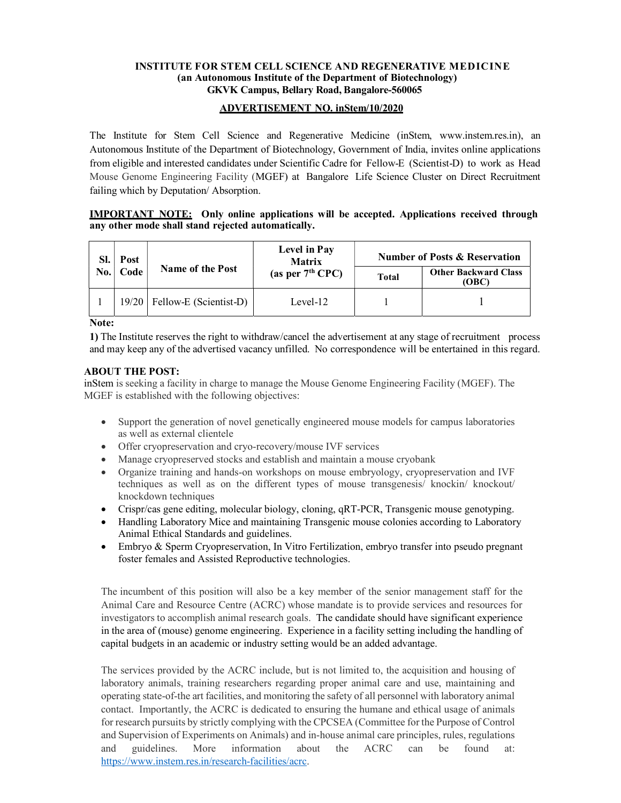#### INSTITUTE FOR STEM CELL SCIENCE AND REGENERATIVE MEDICINE (an Autonomous Institute of the Department of Biotechnology) GKVK Campus, Bellary Road, Bangalore-560065

### ADVERTISEMENT NO. inStem/10/2020

The Institute for Stem Cell Science and Regenerative Medicine (inStem, www.instem.res.in), an Autonomous Institute of the Department of Biotechnology, Government of India, invites online applications from eligible and interested candidates under Scientific Cadre for Fellow-E (Scientist-D) to work as Head Mouse Genome Engineering Facility (MGEF) at Bangalore Life Science Cluster on Direct Recruitment failing which by Deputation/ Absorption.

#### IMPORTANT NOTE: Only online applications will be accepted. Applications received through any other mode shall stand rejected automatically.

| SI.<br>No. | Post<br>Code | <b>Name of the Post</b>        | Level in Pay<br><b>Matrix</b><br>(as per $7th$ CPC) | <b>Number of Posts &amp; Reservation</b> |                                      |
|------------|--------------|--------------------------------|-----------------------------------------------------|------------------------------------------|--------------------------------------|
|            |              |                                |                                                     | <b>Total</b>                             | <b>Other Backward Class</b><br>(OBC) |
|            |              | $19/20$ Fellow-E (Scientist-D) | Level-12                                            |                                          |                                      |

Note:

1) The Institute reserves the right to withdraw/cancel the advertisement at any stage of recruitment process and may keep any of the advertised vacancy unfilled. No correspondence will be entertained in this regard.

### ABOUT THE POST:

inStem is seeking a facility in charge to manage the Mouse Genome Engineering Facility (MGEF). The MGEF is established with the following objectives:

- Support the generation of novel genetically engineered mouse models for campus laboratories as well as external clientele
- Offer cryopreservation and cryo-recovery/mouse IVF services
- Manage cryopreserved stocks and establish and maintain a mouse cryobank
- Organize training and hands-on workshops on mouse embryology, cryopreservation and IVF techniques as well as on the different types of mouse transgenesis/ knockin/ knockout/ knockdown techniques
- Crispr/cas gene editing, molecular biology, cloning, qRT-PCR, Transgenic mouse genotyping.
- Handling Laboratory Mice and maintaining Transgenic mouse colonies according to Laboratory Animal Ethical Standards and guidelines.
- Embryo & Sperm Cryopreservation, In Vitro Fertilization, embryo transfer into pseudo pregnant foster females and Assisted Reproductive technologies.

The incumbent of this position will also be a key member of the senior management staff for the Animal Care and Resource Centre (ACRC) whose mandate is to provide services and resources for investigators to accomplish animal research goals. The candidate should have significant experience in the area of (mouse) genome engineering. Experience in a facility setting including the handling of capital budgets in an academic or industry setting would be an added advantage.

The services provided by the ACRC include, but is not limited to, the acquisition and housing of laboratory animals, training researchers regarding proper animal care and use, maintaining and operating state-of-the art facilities, and monitoring the safety of all personnel with laboratory animal contact. Importantly, the ACRC is dedicated to ensuring the humane and ethical usage of animals for research pursuits by strictly complying with the CPCSEA (Committee for the Purpose of Control and Supervision of Experiments on Animals) and in-house animal care principles, rules, regulations and guidelines. More information about the ACRC can be found at: https://www.instem.res.in/research-facilities/acrc.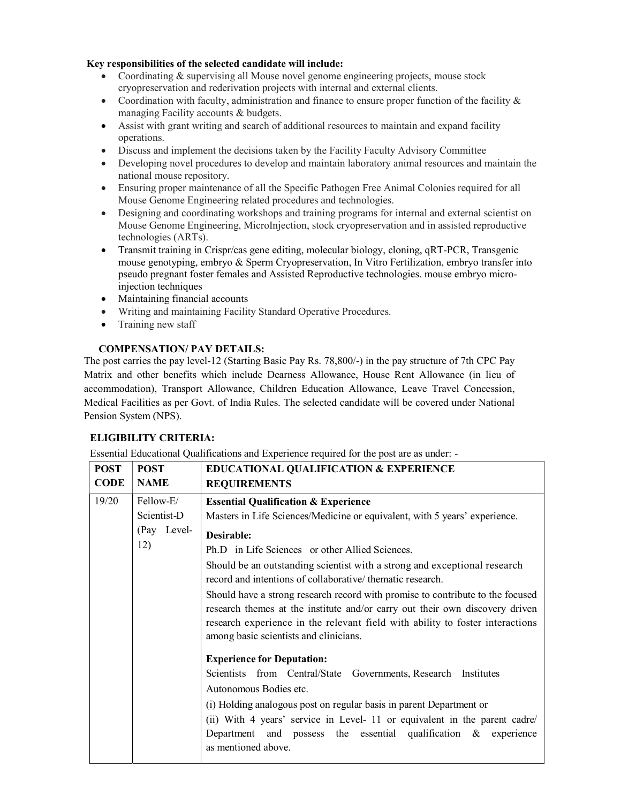### Key responsibilities of the selected candidate will include:

- Coordinating & supervising all Mouse novel genome engineering projects, mouse stock cryopreservation and rederivation projects with internal and external clients.
- Coordination with faculty, administration and finance to ensure proper function of the facility  $\&$ managing Facility accounts & budgets.
- Assist with grant writing and search of additional resources to maintain and expand facility operations.
- Discuss and implement the decisions taken by the Facility Faculty Advisory Committee
- Developing novel procedures to develop and maintain laboratory animal resources and maintain the national mouse repository.
- Ensuring proper maintenance of all the Specific Pathogen Free Animal Colonies required for all Mouse Genome Engineering related procedures and technologies.
- Designing and coordinating workshops and training programs for internal and external scientist on Mouse Genome Engineering, MicroInjection, stock cryopreservation and in assisted reproductive technologies (ARTs).
- Transmit training in Crispr/cas gene editing, molecular biology, cloning, qRT-PCR, Transgenic mouse genotyping, embryo & Sperm Cryopreservation, In Vitro Fertilization, embryo transfer into pseudo pregnant foster females and Assisted Reproductive technologies. mouse embryo microinjection techniques
- Maintaining financial accounts
- Writing and maintaining Facility Standard Operative Procedures.
- Training new staff

### COMPENSATION/ PAY DETAILS:

The post carries the pay level-12 (Starting Basic Pay Rs. 78,800/-) in the pay structure of 7th CPC Pay Matrix and other benefits which include Dearness Allowance, House Rent Allowance (in lieu of accommodation), Transport Allowance, Children Education Allowance, Leave Travel Concession, Medical Facilities as per Govt. of India Rules. The selected candidate will be covered under National Pension System (NPS).

# ELIGIBILITY CRITERIA:

Essential Educational Qualifications and Experience required for the post are as under: -

| <b>POST</b> | <b>POST</b>                       | <b>EDUCATIONAL QUALIFICATION &amp; EXPERIENCE</b>                                                                                                             |  |  |
|-------------|-----------------------------------|---------------------------------------------------------------------------------------------------------------------------------------------------------------|--|--|
| <b>CODE</b> | <b>NAME</b>                       | <b>REQUIREMENTS</b>                                                                                                                                           |  |  |
| 19/20       | Fellow-E/                         | <b>Essential Qualification &amp; Experience</b>                                                                                                               |  |  |
|             | Scientist-D                       | Masters in Life Sciences/Medicine or equivalent, with 5 years' experience.                                                                                    |  |  |
| (Pay Level- |                                   | Desirable:                                                                                                                                                    |  |  |
|             | 12)                               | Ph.D in Life Sciences or other Allied Sciences.                                                                                                               |  |  |
|             |                                   | Should be an outstanding scientist with a strong and exceptional research<br>record and intentions of collaborative/ thematic research.                       |  |  |
|             |                                   | Should have a strong research record with promise to contribute to the focused                                                                                |  |  |
|             |                                   | research themes at the institute and/or carry out their own discovery driven<br>research experience in the relevant field with ability to foster interactions |  |  |
|             |                                   | among basic scientists and clinicians.                                                                                                                        |  |  |
|             | <b>Experience for Deputation:</b> |                                                                                                                                                               |  |  |
|             |                                   | Scientists from Central/State Governments, Research Institutes                                                                                                |  |  |
|             |                                   | Autonomous Bodies etc.                                                                                                                                        |  |  |
|             |                                   | (i) Holding analogous post on regular basis in parent Department or                                                                                           |  |  |
|             |                                   | (ii) With 4 years' service in Level- 11 or equivalent in the parent cadre/                                                                                    |  |  |
|             |                                   | Department and possess the essential qualification $\&$ experience                                                                                            |  |  |
|             |                                   | as mentioned above.                                                                                                                                           |  |  |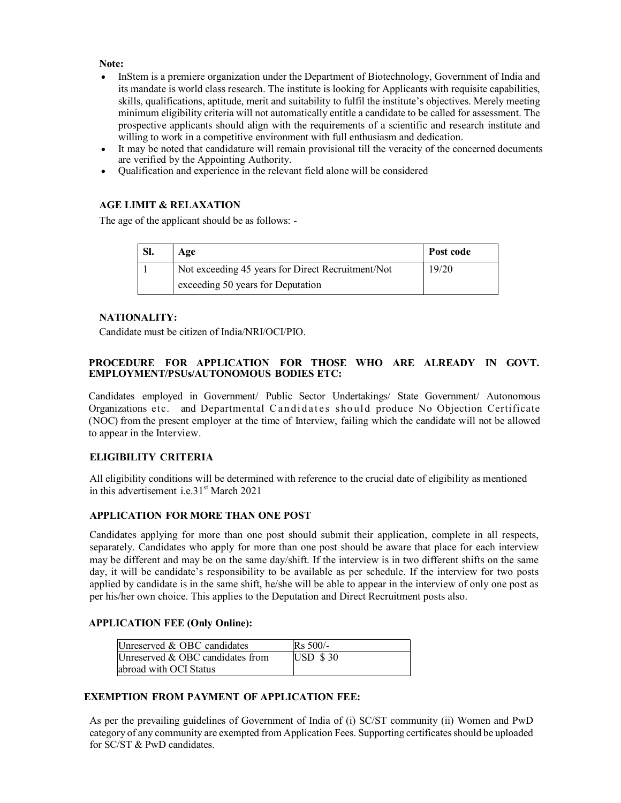### Note:

- InStem is a premiere organization under the Department of Biotechnology, Government of India and its mandate is world class research. The institute is looking for Applicants with requisite capabilities, skills, qualifications, aptitude, merit and suitability to fulfil the institute's objectives. Merely meeting minimum eligibility criteria will not automatically entitle a candidate to be called for assessment. The prospective applicants should align with the requirements of a scientific and research institute and willing to work in a competitive environment with full enthusiasm and dedication.
- It may be noted that candidature will remain provisional till the veracity of the concerned documents are verified by the Appointing Authority.
- Qualification and experience in the relevant field alone will be considered

### AGE LIMIT & RELAXATION

The age of the applicant should be as follows: -

| SI. | Age                                               | Post code |
|-----|---------------------------------------------------|-----------|
|     | Not exceeding 45 years for Direct Recruitment/Not | 19/20     |
|     | exceeding 50 years for Deputation                 |           |

# NATIONALITY:

Candidate must be citizen of India/NRI/OCI/PIO.

### PROCEDURE FOR APPLICATION FOR THOSE WHO ARE ALREADY IN GOVT. EMPLOYMENT/PSUs/AUTONOMOUS BODIES ETC:

Candidates employed in Government/ Public Sector Undertakings/ State Government/ Autonomous Organizations etc. and Departmental Candidates should produce No Objection Certificate (NOC) from the present employer at the time of Interview, failing which the candidate will not be allowed to appear in the Interview.

# ELIGIBILITY CRITERIA

All eligibility conditions will be determined with reference to the crucial date of eligibility as mentioned in this advertisement i.e.31st March 2021

# APPLICATION FOR MORE THAN ONE POST

Candidates applying for more than one post should submit their application, complete in all respects, separately. Candidates who apply for more than one post should be aware that place for each interview may be different and may be on the same day/shift. If the interview is in two different shifts on the same day, it will be candidate's responsibility to be available as per schedule. If the interview for two posts applied by candidate is in the same shift, he/she will be able to appear in the interview of only one post as per his/her own choice. This applies to the Deputation and Direct Recruitment posts also.

#### APPLICATION FEE (Only Online):

| Unreserved & OBC candidates      | $Rs 500/-$  |
|----------------------------------|-------------|
| Unreserved & OBC candidates from | $USD$ \$ 30 |
| abroad with OCI Status           |             |

# EXEMPTION FROM PAYMENT OF APPLICATION FEE:

As per the prevailing guidelines of Government of India of (i) SC/ST community (ii) Women and PwD category of any community are exempted from Application Fees. Supporting certificates should be uploaded for SC/ST & PwD candidates.